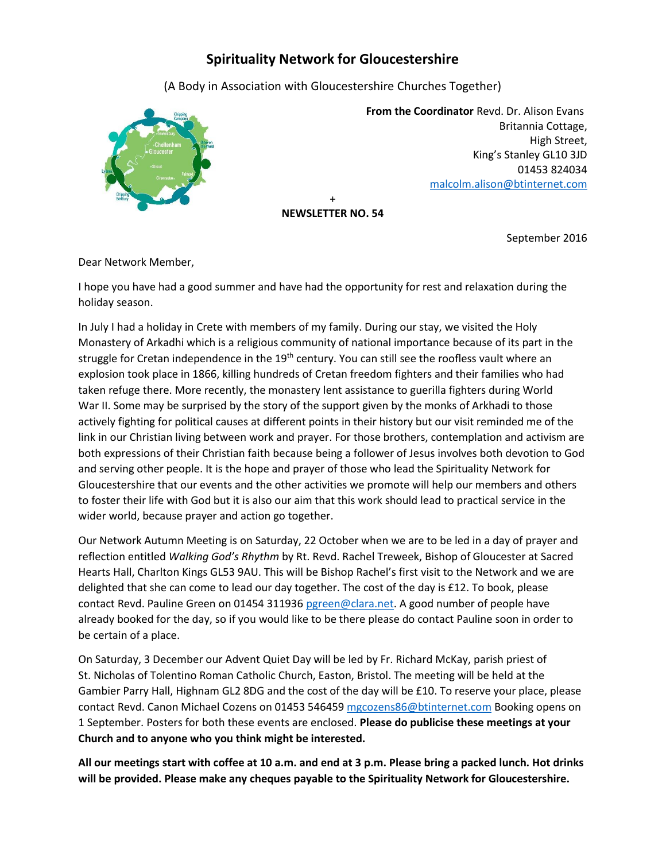## **Spirituality Network for Gloucestershire**

(A Body in Association with Gloucestershire Churches Together)



 **From the Coordinator** Revd. Dr. Alison Evans Britannia Cottage, High Street, King's Stanley GL10 3JD 01453 824034 [malcolm.alison@btinternet.com](mailto:malcolm.alison@btinternet.com)

+ **NEWSLETTER NO. 54**

September 2016

Dear Network Member,

I hope you have had a good summer and have had the opportunity for rest and relaxation during the holiday season.

In July I had a holiday in Crete with members of my family. During our stay, we visited the Holy Monastery of Arkadhi which is a religious community of national importance because of its part in the struggle for Cretan independence in the 19<sup>th</sup> century. You can still see the roofless vault where an explosion took place in 1866, killing hundreds of Cretan freedom fighters and their families who had taken refuge there. More recently, the monastery lent assistance to guerilla fighters during World War II. Some may be surprised by the story of the support given by the monks of Arkhadi to those actively fighting for political causes at different points in their history but our visit reminded me of the link in our Christian living between work and prayer. For those brothers, contemplation and activism are both expressions of their Christian faith because being a follower of Jesus involves both devotion to God and serving other people. It is the hope and prayer of those who lead the Spirituality Network for Gloucestershire that our events and the other activities we promote will help our members and others to foster their life with God but it is also our aim that this work should lead to practical service in the wider world, because prayer and action go together.

Our Network Autumn Meeting is on Saturday, 22 October when we are to be led in a day of prayer and reflection entitled *Walking God's Rhythm* by Rt. Revd. Rachel Treweek, Bishop of Gloucester at Sacred Hearts Hall, Charlton Kings GL53 9AU. This will be Bishop Rachel's first visit to the Network and we are delighted that she can come to lead our day together. The cost of the day is £12. To book, please contact Revd. Pauline Green on 01454 311936 [pgreen@clara.net.](mailto:pgreen@clara.net) A good number of people have already booked for the day, so if you would like to be there please do contact Pauline soon in order to be certain of a place.

On Saturday, 3 December our Advent Quiet Day will be led by Fr. Richard McKay, parish priest of St. Nicholas of Tolentino Roman Catholic Church, Easton, Bristol. The meeting will be held at the Gambier Parry Hall, Highnam GL2 8DG and the cost of the day will be £10. To reserve your place, please contact Revd. Canon Michael Cozens on 01453 546459 [mgcozens86@btinternet.com](mailto:mgcozens86@btinternet.com) Booking opens on 1 September. Posters for both these events are enclosed. **Please do publicise these meetings at your Church and to anyone who you think might be interested.**

**All our meetings start with coffee at 10 a.m. and end at 3 p.m. Please bring a packed lunch. Hot drinks will be provided. Please make any cheques payable to the Spirituality Network for Gloucestershire.**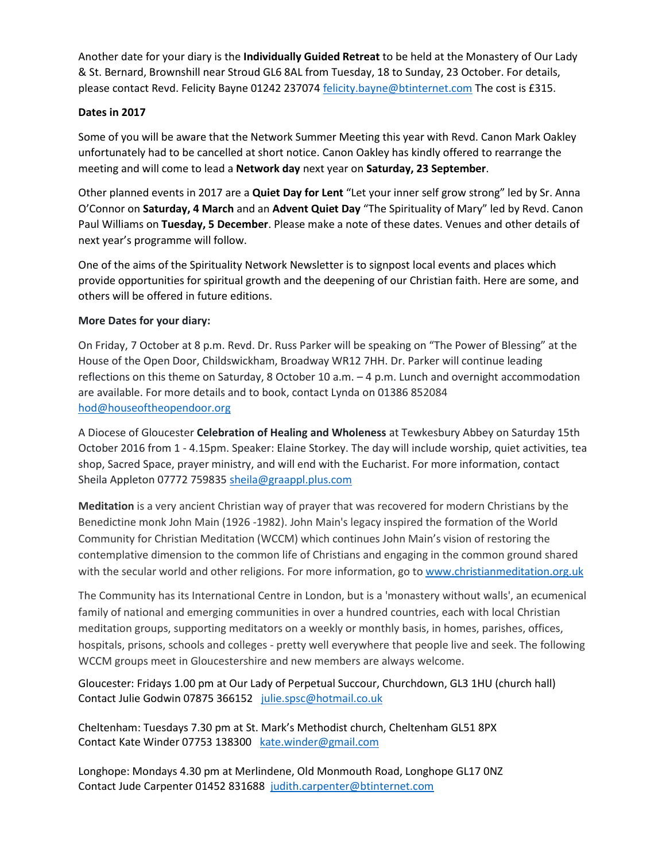Another date for your diary is the **Individually Guided Retreat** to be held at the Monastery of Our Lady & St. Bernard, Brownshill near Stroud GL6 8AL from Tuesday, 18 to Sunday, 23 October. For details, please contact Revd. Felicity Bayne 01242 237074 [felicity.bayne@btinternet.com](mailto:felicity.bayne@btinternet.com) The cost is £315.

## **Dates in 2017**

Some of you will be aware that the Network Summer Meeting this year with Revd. Canon Mark Oakley unfortunately had to be cancelled at short notice. Canon Oakley has kindly offered to rearrange the meeting and will come to lead a **Network day** next year on **Saturday, 23 September**.

Other planned events in 2017 are a **Quiet Day for Lent** "Let your inner self grow strong" led by Sr. Anna O'Connor on **Saturday, 4 March** and an **Advent Quiet Day** "The Spirituality of Mary" led by Revd. Canon Paul Williams on **Tuesday, 5 December**. Please make a note of these dates. Venues and other details of next year's programme will follow.

One of the aims of the Spirituality Network Newsletter is to signpost local events and places which provide opportunities for spiritual growth and the deepening of our Christian faith. Here are some, and others will be offered in future editions.

## **More Dates for your diary:**

On Friday, 7 October at 8 p.m. Revd. Dr. Russ Parker will be speaking on "The Power of Blessing" at the House of the Open Door, Childswickham, Broadway WR12 7HH. Dr. Parker will continue leading reflections on this theme on Saturday, 8 October 10 a.m. – 4 p.m. Lunch and overnight accommodation are available. For more details and to book, contact Lynda on 01386 852084 [hod@houseoftheopendoor.org](mailto:hod@houseoftheopendoor.org)

A Diocese of Gloucester **Celebration of Healing and Wholeness** at Tewkesbury Abbey on Saturday 15th October 2016 from 1 - 4.15pm. Speaker: Elaine Storkey. The day will include worship, quiet activities, tea shop, Sacred Space, prayer ministry, and will end with the Eucharist. For more information, contact Sheila Appleton 07772 759835 [sheila@graappl.plus.com](mailto:sheila@graappl.plus.com)

**Meditation** is a very ancient Christian way of prayer that was recovered for modern Christians by the Benedictine monk John Main (1926 -1982). John Main's legacy inspired the formation of the World Community for Christian Meditation (WCCM) which continues John Main's vision of restoring the contemplative dimension to the common life of Christians and engaging in the common ground shared with the secular world and other religions. For more information, go t[o www.christianmeditation.org.uk](http://www.christianmeditation.org.uk/)

The Community has its International Centre in London, but is a 'monastery without walls', an ecumenical family of national and emerging communities in over a hundred countries, each with local Christian meditation groups, supporting meditators on a weekly or monthly basis, in homes, parishes, offices, hospitals, prisons, schools and colleges - pretty well everywhere that people live and seek. The following WCCM groups meet in Gloucestershire and new members are always welcome.

Gloucester: Fridays 1.00 pm at Our Lady of Perpetual Succour, Churchdown, GL3 1HU (church hall) Contact Julie Godwin 07875 366152 [julie.spsc@hotmail.co.uk](mailto:julie.spsc@hotmail.co.uk)

Cheltenham: Tuesdays 7.30 pm at St. Mark's Methodist church, Cheltenham GL51 8PX Contact Kate Winder 07753 138300 [kate.winder@gmail.com](mailto:kate.winder@gmail.com)

Longhope: Mondays 4.30 pm at Merlindene, Old Monmouth Road, Longhope GL17 0NZ Contact Jude Carpenter 01452 831688 [judith.carpenter@btinternet.com](mailto:judith.carpenter@btinternet.com)